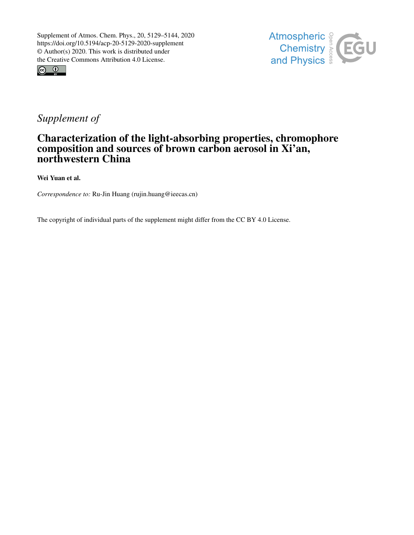





## *Supplement of*

## Characterization of the light-absorbing properties, chromophore composition and sources of brown carbon aerosol in Xi'an, northwestern China

Wei Yuan et al.

*Correspondence to:* Ru-Jin Huang (rujin.huang@ieecas.cn)

The copyright of individual parts of the supplement might differ from the CC BY 4.0 License.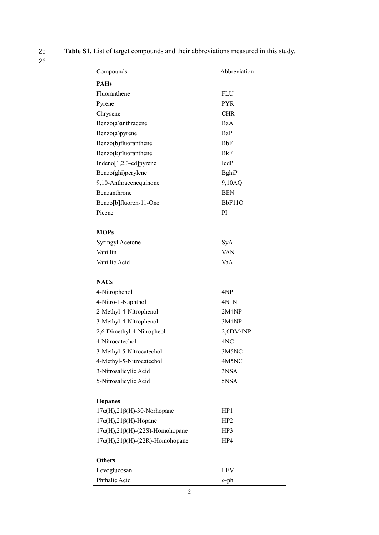25 Table S1. List of target compounds and their abbreviations measured in this study.

| Compounds                                   | Abbreviation    |  |  |  |  |
|---------------------------------------------|-----------------|--|--|--|--|
| <b>PAHs</b>                                 |                 |  |  |  |  |
| Fluoranthene                                | <b>FLU</b>      |  |  |  |  |
| Pyrene                                      | <b>PYR</b>      |  |  |  |  |
| Chrysene                                    | <b>CHR</b>      |  |  |  |  |
| Benzo(a)anthracene                          | BaA             |  |  |  |  |
| Benzo(a)pyrene                              | BaP             |  |  |  |  |
| Benzo(b)fluoranthene                        | BbF             |  |  |  |  |
| Benzo(k)fluoranthene                        | BkF             |  |  |  |  |
| Indeno[1,2,3-cd]pyrene                      | IcdP            |  |  |  |  |
| Benzo(ghi)perylene                          | BghiP           |  |  |  |  |
| 9,10-Anthracenequinone                      | 9,10AQ          |  |  |  |  |
| Benzanthrone                                | <b>BEN</b>      |  |  |  |  |
| Benzo[b]fluoren-11-One                      | BbF11O          |  |  |  |  |
| Picene                                      | PI              |  |  |  |  |
|                                             |                 |  |  |  |  |
| <b>MOPs</b>                                 |                 |  |  |  |  |
| Syringyl Acetone                            | SyA             |  |  |  |  |
| Vanillin                                    | <b>VAN</b>      |  |  |  |  |
| Vanillic Acid                               | VaA             |  |  |  |  |
|                                             |                 |  |  |  |  |
| <b>NACs</b>                                 |                 |  |  |  |  |
| 4-Nitrophenol                               | 4NP             |  |  |  |  |
| 4-Nitro-1-Naphthol                          | 4N1N            |  |  |  |  |
| 2-Methyl-4-Nitrophenol                      | 2M4NP           |  |  |  |  |
| 3-Methyl-4-Nitrophenol                      | 3M4NP           |  |  |  |  |
| 2,6-Dimethyl-4-Nitropheol                   | 2,6DM4NP        |  |  |  |  |
| 4-Nitrocatechol                             | 4NC             |  |  |  |  |
| 3-Methyl-5-Nitrocatechol                    | 3M5NC           |  |  |  |  |
| 4-Methyl-5-Nitrocatechol                    | 4M5NC           |  |  |  |  |
| 3-Nitrosalicylic Acid                       | 3NSA            |  |  |  |  |
| 5-Nitrosalicylic Acid                       | 5NSA            |  |  |  |  |
|                                             |                 |  |  |  |  |
| <b>Hopanes</b>                              |                 |  |  |  |  |
| $17\alpha(H), 21\beta(H)$ -30-Norhopane     | HP <sub>1</sub> |  |  |  |  |
| $17\alpha(H), 21\beta(H)$ -Hopane           | HP <sub>2</sub> |  |  |  |  |
| $17\alpha(H), 21\beta(H)$ -(22S)-Homohopane | HP3             |  |  |  |  |
| $17\alpha(H), 21\beta(H)$ -(22R)-Homohopane | HP4             |  |  |  |  |
| <b>Others</b>                               |                 |  |  |  |  |
| Levoglucosan                                | <b>LEV</b>      |  |  |  |  |
| Phthalic Acid                               | $o$ -ph         |  |  |  |  |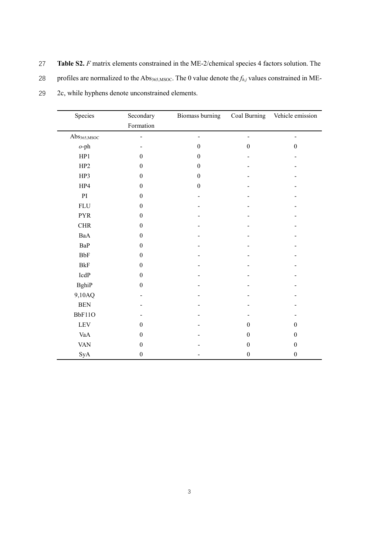27 Table S2. F matrix elements constrained in the ME-2/chemical species 4 factors solution. The

28 profiles are normalized to the Abs<sub>365,MSOC</sub>. The 0 value denote the  $f_{h,j}$  values constrained in ME-

| Species                 | Secondary        | Biomass burning  | Coal Burning     | Vehicle emission |
|-------------------------|------------------|------------------|------------------|------------------|
|                         | Formation        |                  |                  |                  |
| Abs <sub>365,MSOC</sub> |                  |                  |                  |                  |
| $o$ -ph                 |                  | $\boldsymbol{0}$ | $\boldsymbol{0}$ | $\boldsymbol{0}$ |
| HP1                     | $\theta$         | $\boldsymbol{0}$ |                  |                  |
| HP <sub>2</sub>         | $\boldsymbol{0}$ | $\boldsymbol{0}$ |                  |                  |
| HP3                     | $\boldsymbol{0}$ | $\boldsymbol{0}$ |                  |                  |
| HP4                     | $\boldsymbol{0}$ | $\boldsymbol{0}$ |                  |                  |
| PI                      | $\boldsymbol{0}$ |                  |                  |                  |
| <b>FLU</b>              | $\boldsymbol{0}$ |                  |                  |                  |
| <b>PYR</b>              | $\boldsymbol{0}$ |                  |                  |                  |
| ${\rm CHR}$             | $\boldsymbol{0}$ |                  |                  |                  |
| BaA                     | $\boldsymbol{0}$ |                  |                  |                  |
| BaP                     | $\boldsymbol{0}$ |                  |                  |                  |
| BbF                     | $\boldsymbol{0}$ |                  |                  |                  |
| <b>BkF</b>              | $\boldsymbol{0}$ |                  |                  |                  |
| $\mbox{IcdP}$           | $\boldsymbol{0}$ |                  |                  |                  |
| <b>BghiP</b>            | $\boldsymbol{0}$ |                  |                  |                  |
| 9,10AQ                  |                  |                  |                  |                  |
| <b>BEN</b>              |                  |                  |                  |                  |
| BbF11O                  |                  |                  |                  |                  |
| <b>LEV</b>              | $\boldsymbol{0}$ |                  | $\theta$         | $\boldsymbol{0}$ |
| VaA                     | $\mathbf{0}$     |                  | $\theta$         | $\overline{0}$   |
| <b>VAN</b>              | $\boldsymbol{0}$ |                  | $\boldsymbol{0}$ | $\boldsymbol{0}$ |
| SyA                     | $\boldsymbol{0}$ |                  | $\boldsymbol{0}$ | $\boldsymbol{0}$ |

29 2c, while hyphens denote unconstrained elements.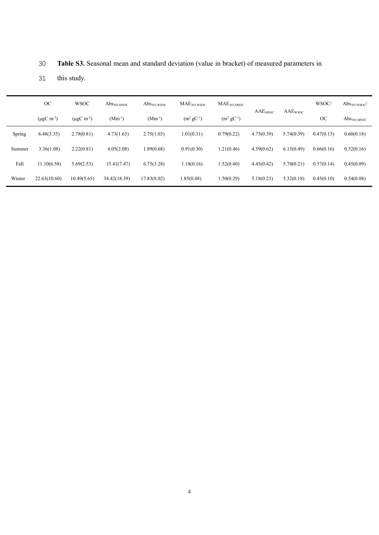|        | OC                          | <b>WSOC</b>           | $\mathrm{Abs}_{365,\mathrm{MSOC}}$ | $\mathrm{Abs}_{365,\mathrm{WSOC}}$ | MAE <sub>365.WSOC</sub> | $\rm MAE_{365, MSOC}$ | AAE <sub>MSOC</sub> | AAEwsoc    | WSOC/      | $\mathrm{Abs}_{365,\mathrm{WSOC}}/$ |
|--------|-----------------------------|-----------------------|------------------------------------|------------------------------------|-------------------------|-----------------------|---------------------|------------|------------|-------------------------------------|
|        | $(\mu$ gC m <sup>-3</sup> ) | $(\mu g C \, m^{-3})$ | $(Mm^{-1})$                        | $(Mm^{-1})$                        | $(m^2 gC^{-1})$         | $(m^2 gC^{-1})$       |                     |            | OC         | $\mathrm{Abs}_{365,\mathrm{MSOC}}$  |
| Spring | 6.48(3.35)                  | 2.78(0.81)            | 4.73(1.63)                         | 2.75(1.03)                         | 1.01(0.31)              | 0.79(0.22)            | 4.75(0.39)          | 5.74(0.39) | 0.47(0.15) | 0.60(0.18)                          |
| Summer | 3.36(1.08)                  | 2.22(0.81)            | 4.05(2.08)                         | 1.89(0.68)                         | 0.91(0.30)              | 1.21(0.46)            | 4.59(0.62)          | 6.15(0.49) | 0.66(0.16) | 0.52(0.16)                          |
| Fall   | 11.10(6.58)                 | 5.69(2.53)            | 15.41(7.47)                        | 6.75(3.28)                         | 1.18(0.16)              | 1.52(0.40)            | 4.45(0.42)          | 5.70(0.21) | 0.57(0.14) | 0.45(0.09)                          |
| Winter | 22.63(10.60)                | 10.49(5.65)           | 34.42(18.39)                       | 17.83(8.02)                        | 1.85(0.48)              | 1.50(0.29)            | 5.18(0.23)          | 5.32(0.18) | 0.45(0.10) | 0.54(0.08)                          |

30 Table S3. Seasonal mean and standard deviation (value in bracket) of measured parameters in

31 this study.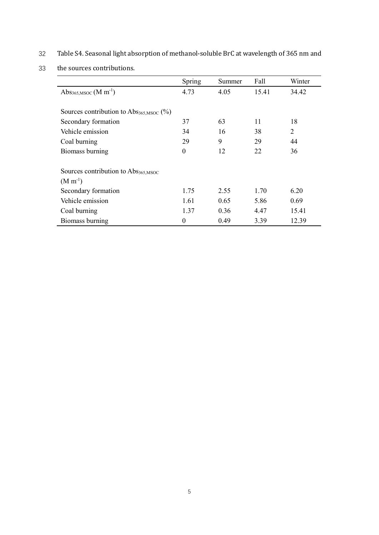32 Table S4. Seasonal light absorption of methanol-soluble BrC at wavelength of 365 nm and

<sup>33</sup> the sources contributions.

|                                                            | Spring   | Summer | Fall  | Winter |  |  |  |
|------------------------------------------------------------|----------|--------|-------|--------|--|--|--|
| Abs <sub>365,MSOC</sub> (M m <sup>-1</sup> )               | 4.73     | 4.05   | 15.41 | 34.42  |  |  |  |
|                                                            |          |        |       |        |  |  |  |
| Sources contribution to $\text{Abs}_{365,\text{MSOC}}$ (%) |          |        |       |        |  |  |  |
| Secondary formation                                        | 37       | 63     | 11    | 18     |  |  |  |
| Vehicle emission                                           | 34       | 16     | 38    | 2      |  |  |  |
| Coal burning                                               | 29       | 9      | 29    | 44     |  |  |  |
| Biomass burning                                            | $\theta$ | 12     | 22    | 36     |  |  |  |
|                                                            |          |        |       |        |  |  |  |
| Sources contribution to Abs365, MSOC                       |          |        |       |        |  |  |  |
| $(M m^{-1})$                                               |          |        |       |        |  |  |  |
| Secondary formation                                        | 1.75     | 2.55   | 1.70  | 6.20   |  |  |  |
| Vehicle emission                                           | 1.61     | 0.65   | 5.86  | 0.69   |  |  |  |
| Coal burning                                               | 1.37     | 0.36   | 4.47  | 15.41  |  |  |  |
| Biomass burning                                            | $\theta$ | 0.49   | 3.39  | 12.39  |  |  |  |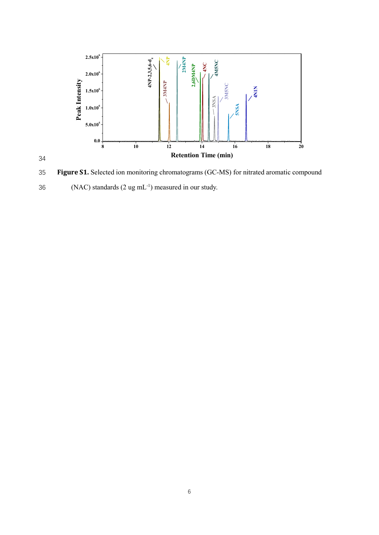

35 Figure S1. Selected ion monitoring chromatograms (GC-MS) for nitrated aromatic compound 36 (NAC) standards  $(2 \text{ ug } mL^{-1})$  measured in our study.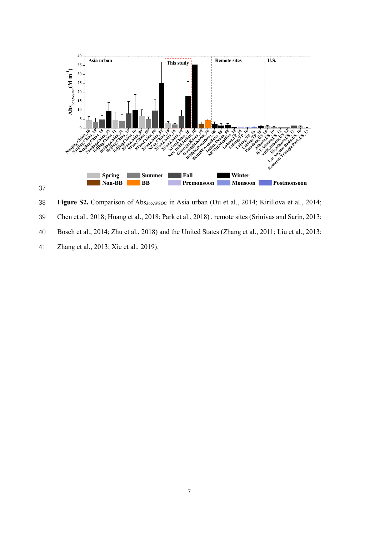

38 Figure S2. Comparison of Abs<sub>365,WSOC</sub> in Asia urban (Du et al., 2014; Kirillova et al., 2014; 39 Chen et al., 2018; Huang et al., 2018; Park et al., 2018) , remote sites (Srinivas and Sarin, 2013; 40 Bosch et al., 2014; Zhu et al., 2018) and the United States (Zhang et al., 2011; Liu et al., 2013;

41 Zhang et al., 2013; Xie et al., 2019).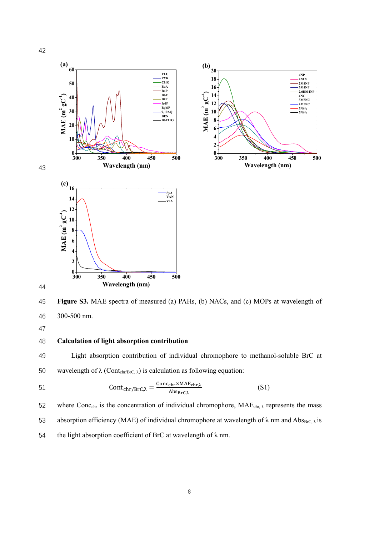

45 Figure S3. MAE spectra of measured (a) PAHs, (b) NACs, and (c) MOPs at wavelength of 46 300-500 nm.

47

## 48 Calculation of light absorption contribution

49 Light absorption contribution of individual chromophore to methanol-soluble BrC at 50 wavelength of  $\lambda$  (Contchr/BrC,  $\lambda$ ) is calculation as following equation:

Contୡ୦୰/୰େ, = େ୭୬ୡౙ౨×ౙ౨,ಓ ୠୱా౨ి,ಓ 51 (S1)

52 where Conc<sub>chr</sub> is the concentration of individual chromophore,  $MAE_{chr, \lambda}$  represents the mass 53 absorption efficiency (MAE) of individual chromophore at wavelength of  $\lambda$  nm and Abs $_{BFC, \lambda}$  is 54 the light absorption coefficient of BrC at wavelength of  $\lambda$  nm.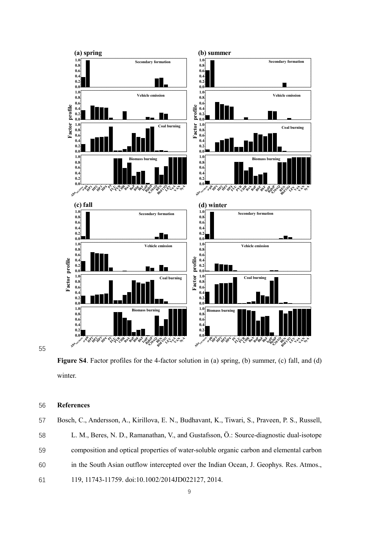

Figure S4. Factor profiles for the 4-factor solution in (a) spring, (b) summer, (c) fall, and (d) winter.

## 56 References

57 Bosch, C., Andersson, A., Kirillova, E. N., Budhavant, K., Tiwari, S., Praveen, P. S., Russell, 58 L. M., Beres, N. D., Ramanathan, V., and Gustafsson, Ö.: Source-diagnostic dual-isotope 59 composition and optical properties of water-soluble organic carbon and elemental carbon 60 in the South Asian outflow intercepted over the Indian Ocean, J. Geophys. Res. Atmos., 61 119, 11743-11759. doi:10.1002/2014JD022127, 2014.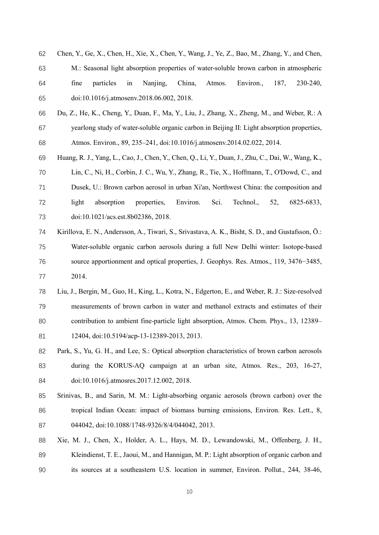- Chen, Y., Ge, X., Chen, H., Xie, X., Chen, Y., Wang, J., Ye, Z., Bao, M., Zhang, Y., and Chen,
- M.: Seasonal light absorption properties of water-soluble brown carbon in atmospheric fine particles in Nanjing, China, Atmos. Environ., 187, 230-240, doi:10.1016/j.atmosenv.2018.06.002, 2018.
- Du, Z., He, K., Cheng, Y., Duan, F., Ma, Y., Liu, J., Zhang, X., Zheng, M., and Weber, R.: A yearlong study of water-soluble organic carbon in Beijing II: Light absorption properties, Atmos. Environ., 89, 235–241, doi:10.1016/j.atmosenv.2014.02.022, 2014.
- Huang, R. J., Yang, L., Cao, J., Chen, Y., Chen, Q., Li, Y., Duan, J., Zhu, C., Dai, W., Wang, K., Lin, C., Ni, H., Corbin, J. C., Wu, Y., Zhang, R., Tie, X., Hoffmann, T., O'Dowd, C., and Dusek, U.: Brown carbon aerosol in urban Xi'an, Northwest China: the composition and light absorption properties, Environ. Sci. Technol., 52, 6825-6833, doi:10.1021/acs.est.8b02386, 2018.
- Kirillova, E. N., Andersson, A., Tiwari, S., Srivastava, A. K., Bisht, S. D., and Gustafsson, Ö.: Water-soluble organic carbon aerosols during a full New Delhi winter: Isotope-based source apportionment and optical properties, J. Geophys. Res. Atmos., 119, 3476−3485, 2014.
- Liu, J., Bergin, M., Guo, H., King, L., Kotra, N., Edgerton, E., and Weber, R. J.: Size-resolved measurements of brown carbon in water and methanol extracts and estimates of their contribution to ambient fine-particle light absorption, Atmos. Chem. Phys., 13, 12389– 12404, doi:10.5194/acp-13-12389-2013, 2013.
- Park, S., Yu, G. H., and Lee, S.: Optical absorption characteristics of brown carbon aerosols during the KORUS-AQ campaign at an urban site, Atmos. Res., 203, 16-27, doi:10.1016/j.atmosres.2017.12.002, 2018.
- Srinivas, B., and Sarin, M. M.: Light-absorbing organic aerosols (brown carbon) over the tropical Indian Ocean: impact of biomass burning emissions, Environ. Res. Lett., 8, 044042, doi:10.1088/1748-9326/8/4/044042, 2013.
- Xie, M. J., Chen, X., Holder, A. L., Hays, M. D., Lewandowski, M., Offenberg, J. H., 89 Kleindienst, T. E., Jaoui, M., and Hannigan, M. P.: Light absorption of organic carbon and its sources at a southeastern U.S. location in summer, Environ. Pollut., 244, 38-46,